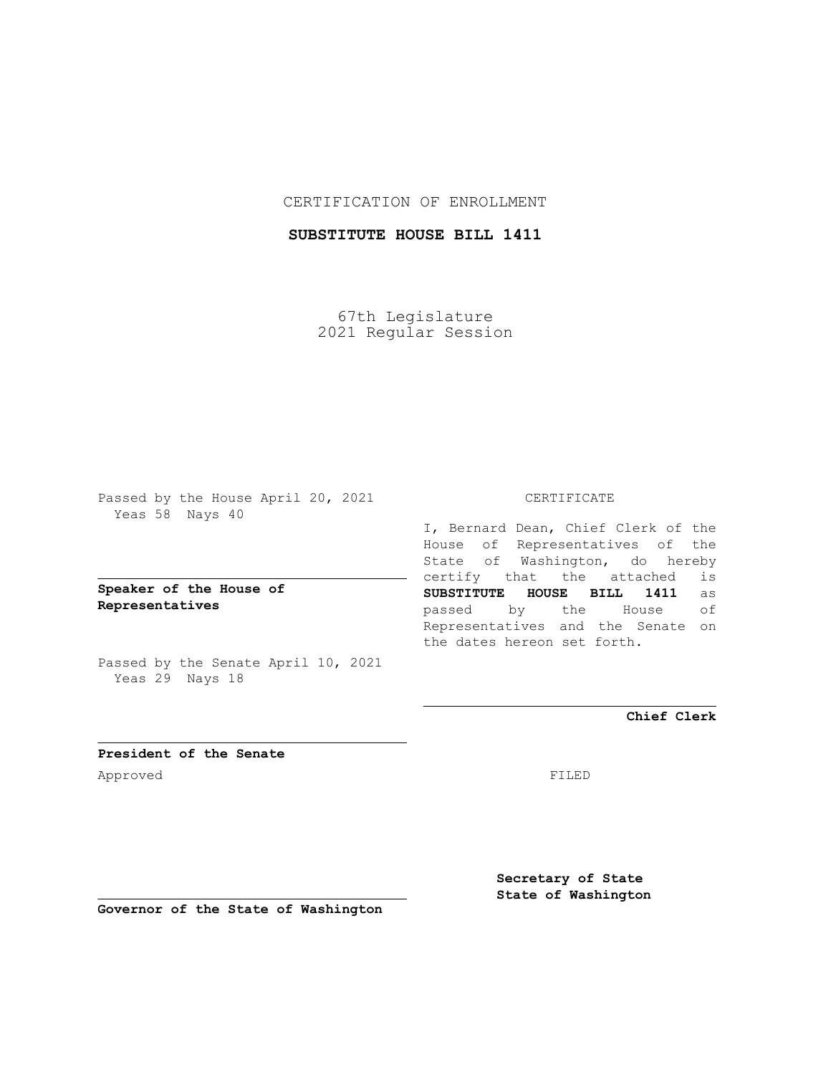## CERTIFICATION OF ENROLLMENT

## **SUBSTITUTE HOUSE BILL 1411**

67th Legislature 2021 Regular Session

Passed by the House April 20, 2021 Yeas 58 Nays 40

**Speaker of the House of Representatives**

Passed by the Senate April 10, 2021 Yeas 29 Nays 18

#### CERTIFICATE

I, Bernard Dean, Chief Clerk of the House of Representatives of the State of Washington, do hereby certify that the attached is **SUBSTITUTE HOUSE BILL 1411** as passed by the House of Representatives and the Senate on the dates hereon set forth.

**Chief Clerk**

**President of the Senate** Approved FILED

**Secretary of State State of Washington**

**Governor of the State of Washington**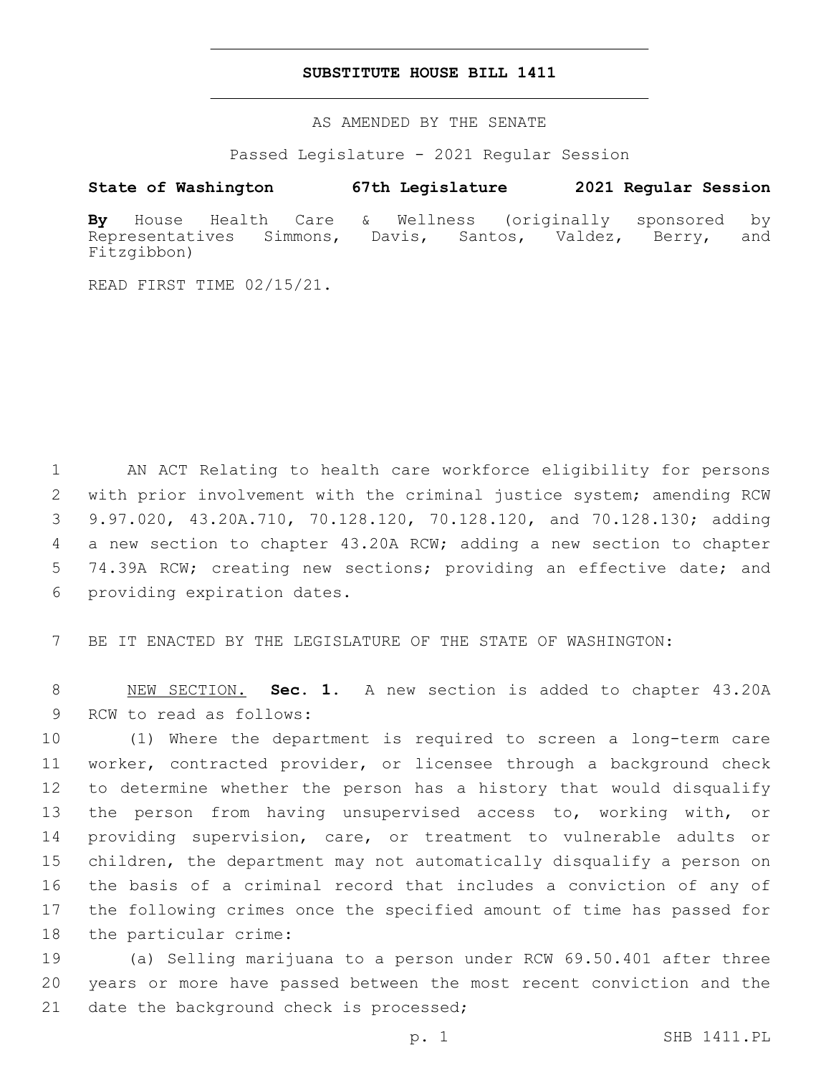#### **SUBSTITUTE HOUSE BILL 1411**

AS AMENDED BY THE SENATE

Passed Legislature - 2021 Regular Session

## **State of Washington 67th Legislature 2021 Regular Session**

**By** House Health Care & Wellness (originally sponsored by Representatives Simmons, Davis, Santos, Valdez, Berry, and Fitzgibbon)

READ FIRST TIME 02/15/21.

 AN ACT Relating to health care workforce eligibility for persons with prior involvement with the criminal justice system; amending RCW 9.97.020, 43.20A.710, 70.128.120, 70.128.120, and 70.128.130; adding a new section to chapter 43.20A RCW; adding a new section to chapter 5 74.39A RCW; creating new sections; providing an effective date; and 6 providing expiration dates.

7 BE IT ENACTED BY THE LEGISLATURE OF THE STATE OF WASHINGTON:

8 NEW SECTION. **Sec. 1.** A new section is added to chapter 43.20A 9 RCW to read as follows:

 (1) Where the department is required to screen a long-term care worker, contracted provider, or licensee through a background check to determine whether the person has a history that would disqualify the person from having unsupervised access to, working with, or providing supervision, care, or treatment to vulnerable adults or children, the department may not automatically disqualify a person on the basis of a criminal record that includes a conviction of any of the following crimes once the specified amount of time has passed for 18 the particular crime:

19 (a) Selling marijuana to a person under RCW 69.50.401 after three 20 years or more have passed between the most recent conviction and the 21 date the background check is processed;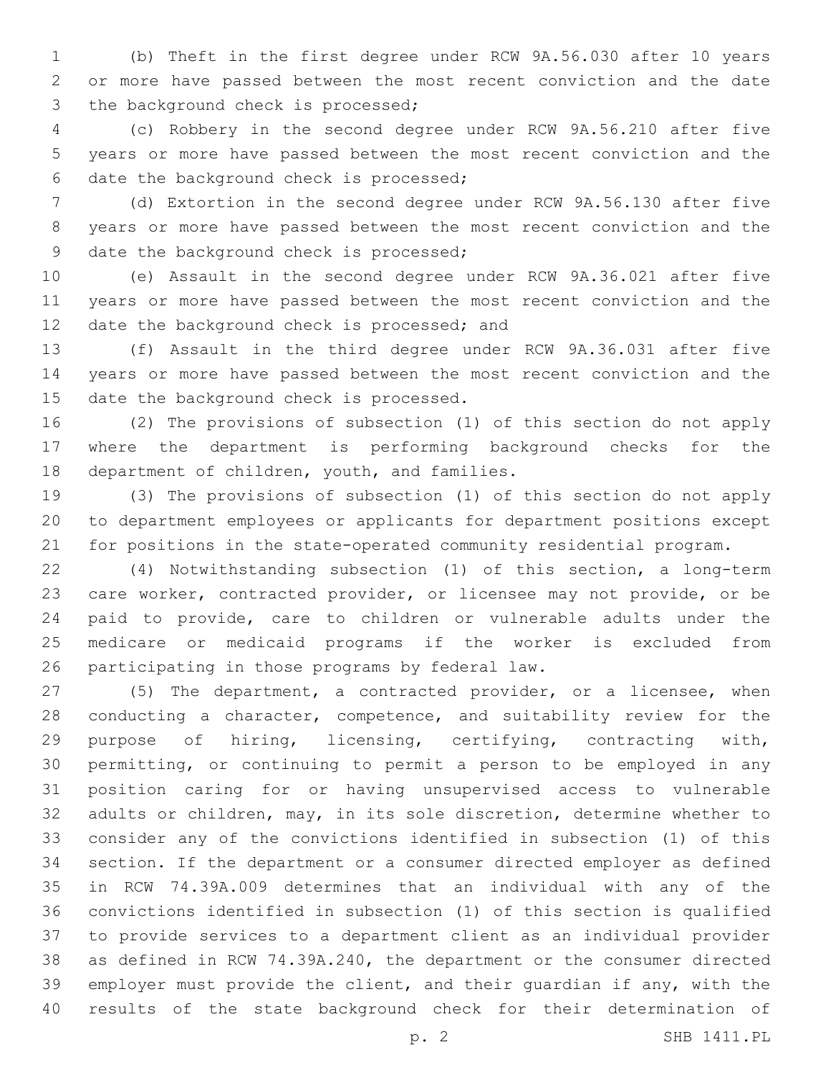(b) Theft in the first degree under RCW 9A.56.030 after 10 years or more have passed between the most recent conviction and the date 3 the background check is processed;

 (c) Robbery in the second degree under RCW 9A.56.210 after five years or more have passed between the most recent conviction and the 6 date the background check is processed;

 (d) Extortion in the second degree under RCW 9A.56.130 after five years or more have passed between the most recent conviction and the 9 date the background check is processed;

 (e) Assault in the second degree under RCW 9A.36.021 after five years or more have passed between the most recent conviction and the 12 date the background check is processed; and

 (f) Assault in the third degree under RCW 9A.36.031 after five years or more have passed between the most recent conviction and the 15 date the background check is processed.

 (2) The provisions of subsection (1) of this section do not apply where the department is performing background checks for the 18 department of children, youth, and families.

 (3) The provisions of subsection (1) of this section do not apply to department employees or applicants for department positions except for positions in the state-operated community residential program.

 (4) Notwithstanding subsection (1) of this section, a long-term care worker, contracted provider, or licensee may not provide, or be paid to provide, care to children or vulnerable adults under the medicare or medicaid programs if the worker is excluded from 26 participating in those programs by federal law.

 (5) The department, a contracted provider, or a licensee, when conducting a character, competence, and suitability review for the purpose of hiring, licensing, certifying, contracting with, permitting, or continuing to permit a person to be employed in any position caring for or having unsupervised access to vulnerable adults or children, may, in its sole discretion, determine whether to consider any of the convictions identified in subsection (1) of this section. If the department or a consumer directed employer as defined in RCW 74.39A.009 determines that an individual with any of the convictions identified in subsection (1) of this section is qualified to provide services to a department client as an individual provider as defined in RCW 74.39A.240, the department or the consumer directed employer must provide the client, and their guardian if any, with the results of the state background check for their determination of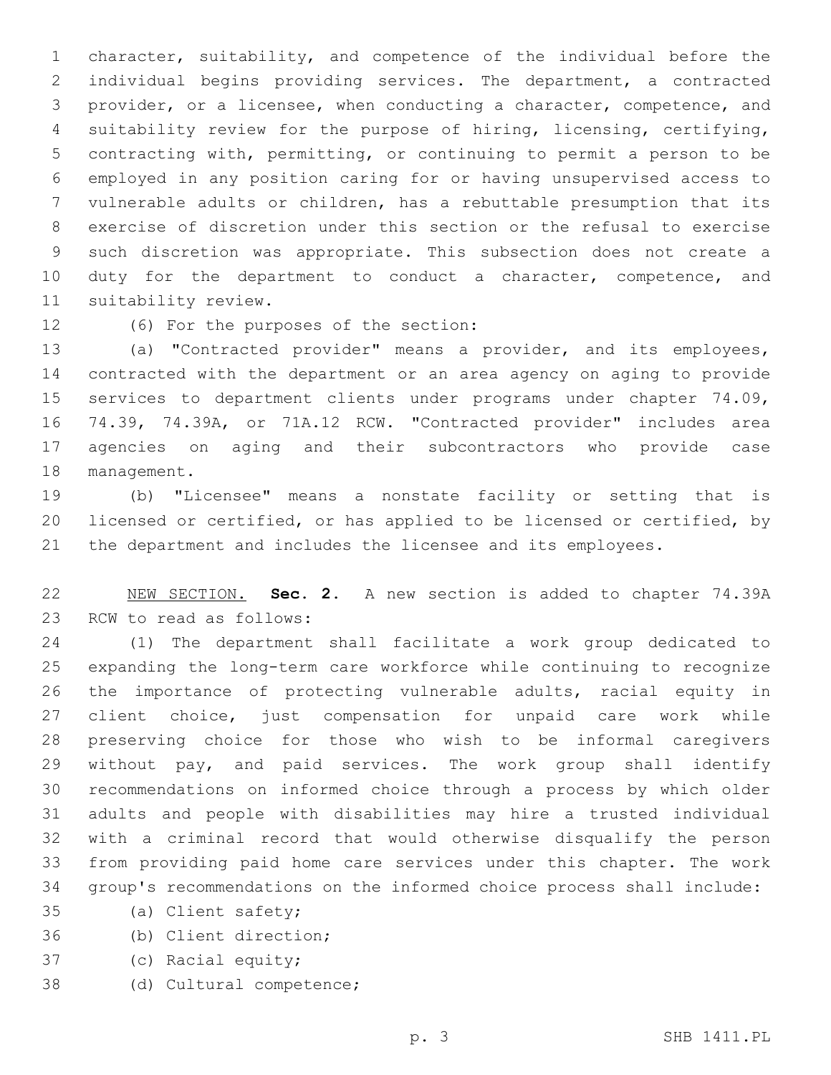character, suitability, and competence of the individual before the individual begins providing services. The department, a contracted provider, or a licensee, when conducting a character, competence, and suitability review for the purpose of hiring, licensing, certifying, contracting with, permitting, or continuing to permit a person to be employed in any position caring for or having unsupervised access to vulnerable adults or children, has a rebuttable presumption that its exercise of discretion under this section or the refusal to exercise such discretion was appropriate. This subsection does not create a 10 duty for the department to conduct a character, competence, and 11 suitability review.

# 12 (6) For the purposes of the section:

 (a) "Contracted provider" means a provider, and its employees, contracted with the department or an area agency on aging to provide services to department clients under programs under chapter 74.09, 74.39, 74.39A, or 71A.12 RCW. "Contracted provider" includes area agencies on aging and their subcontractors who provide case 18 management.

 (b) "Licensee" means a nonstate facility or setting that is licensed or certified, or has applied to be licensed or certified, by the department and includes the licensee and its employees.

 NEW SECTION. **Sec. 2.** A new section is added to chapter 74.39A 23 RCW to read as follows:

 (1) The department shall facilitate a work group dedicated to expanding the long-term care workforce while continuing to recognize the importance of protecting vulnerable adults, racial equity in client choice, just compensation for unpaid care work while preserving choice for those who wish to be informal caregivers without pay, and paid services. The work group shall identify recommendations on informed choice through a process by which older adults and people with disabilities may hire a trusted individual with a criminal record that would otherwise disqualify the person from providing paid home care services under this chapter. The work group's recommendations on the informed choice process shall include:

- 35 (a) Client safety;
- (b) Client direction;36
- 37 (c) Racial equity;
- 38 (d) Cultural competence;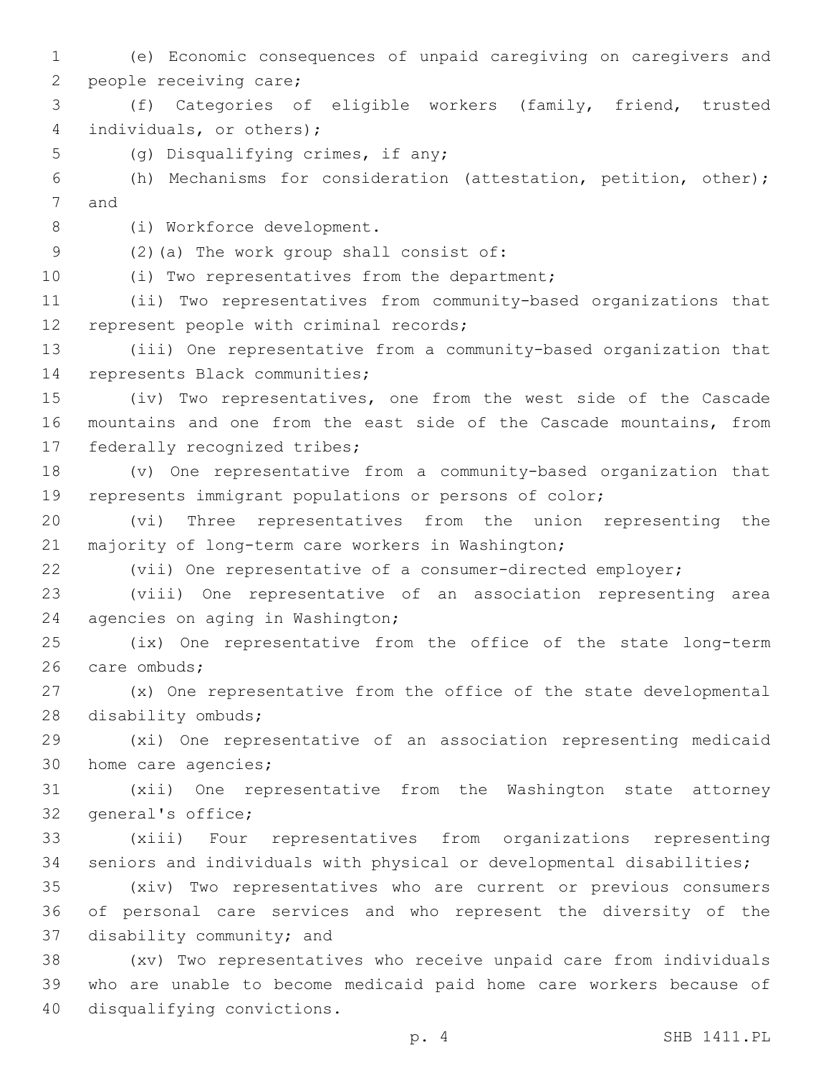1 (e) Economic consequences of unpaid caregiving on caregivers and 2 people receiving care; 3 (f) Categories of eligible workers (family, friend, trusted 4 individuals, or others); 5 (g) Disqualifying crimes, if any; 6 (h) Mechanisms for consideration (attestation, petition, other); 7 and 8 (i) Workforce development. (2)(a) The work group shall consist of:9 10 (i) Two representatives from the department; 11 (ii) Two representatives from community-based organizations that 12 represent people with criminal records; 13 (iii) One representative from a community-based organization that 14 represents Black communities; 15 (iv) Two representatives, one from the west side of the Cascade 16 mountains and one from the east side of the Cascade mountains, from 17 federally recognized tribes; 18 (v) One representative from a community-based organization that 19 represents immigrant populations or persons of color; 20 (vi) Three representatives from the union representing the 21 majority of long-term care workers in Washington; 22 (vii) One representative of a consumer-directed employer; 23 (viii) One representative of an association representing area 24 agencies on aging in Washington; 25 (ix) One representative from the office of the state long-term 26 care ombuds; 27 (x) One representative from the office of the state developmental 28 disability ombuds; 29 (xi) One representative of an association representing medicaid 30 home care agencies; 31 (xii) One representative from the Washington state attorney 32 general's office; 33 (xiii) Four representatives from organizations representing 34 seniors and individuals with physical or developmental disabilities; 35 (xiv) Two representatives who are current or previous consumers 36 of personal care services and who represent the diversity of the 37 disability community; and 38 (xv) Two representatives who receive unpaid care from individuals 39 who are unable to become medicaid paid home care workers because of 40 disqualifying convictions.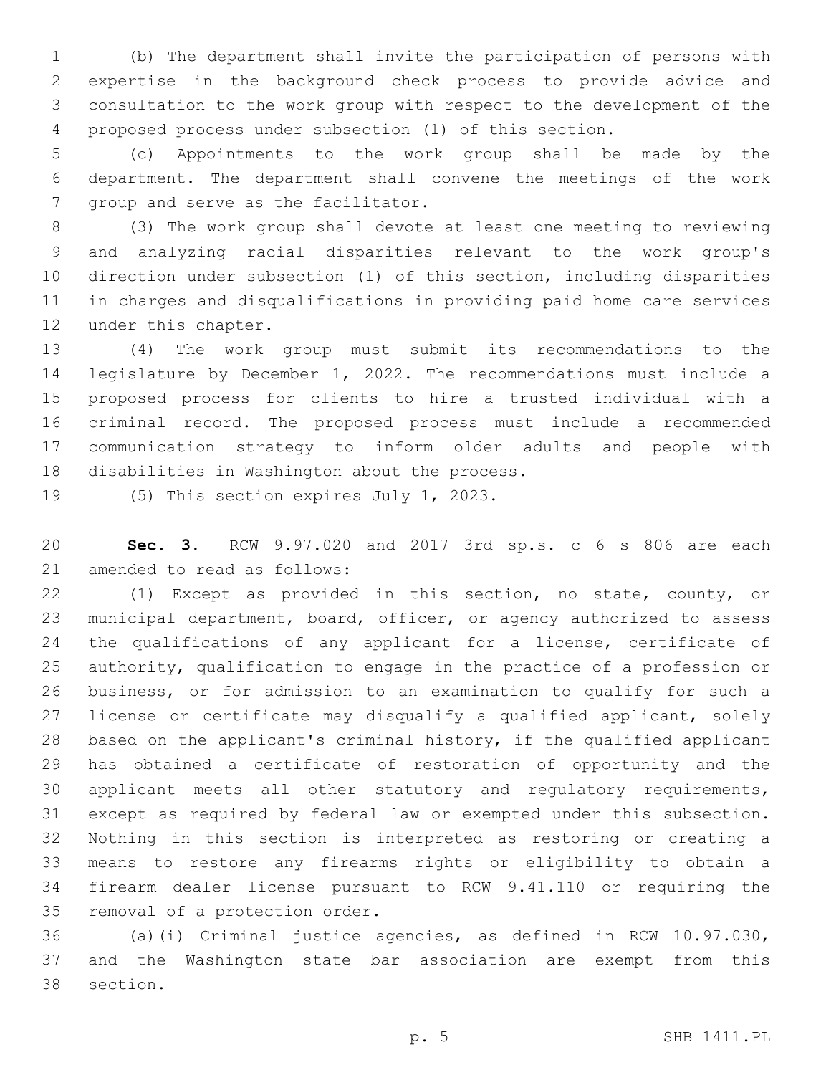(b) The department shall invite the participation of persons with expertise in the background check process to provide advice and consultation to the work group with respect to the development of the proposed process under subsection (1) of this section.

 (c) Appointments to the work group shall be made by the department. The department shall convene the meetings of the work 7 group and serve as the facilitator.

 (3) The work group shall devote at least one meeting to reviewing and analyzing racial disparities relevant to the work group's direction under subsection (1) of this section, including disparities in charges and disqualifications in providing paid home care services 12 under this chapter.

 (4) The work group must submit its recommendations to the legislature by December 1, 2022. The recommendations must include a proposed process for clients to hire a trusted individual with a criminal record. The proposed process must include a recommended communication strategy to inform older adults and people with 18 disabilities in Washington about the process.

19 (5) This section expires July 1, 2023.

 **Sec. 3.** RCW 9.97.020 and 2017 3rd sp.s. c 6 s 806 are each 21 amended to read as follows:

 (1) Except as provided in this section, no state, county, or municipal department, board, officer, or agency authorized to assess 24 the qualifications of any applicant for a license, certificate of authority, qualification to engage in the practice of a profession or business, or for admission to an examination to qualify for such a 27 license or certificate may disqualify a qualified applicant, solely based on the applicant's criminal history, if the qualified applicant has obtained a certificate of restoration of opportunity and the applicant meets all other statutory and regulatory requirements, except as required by federal law or exempted under this subsection. Nothing in this section is interpreted as restoring or creating a means to restore any firearms rights or eligibility to obtain a firearm dealer license pursuant to RCW 9.41.110 or requiring the 35 removal of a protection order.

 (a)(i) Criminal justice agencies, as defined in RCW 10.97.030, and the Washington state bar association are exempt from this 38 section.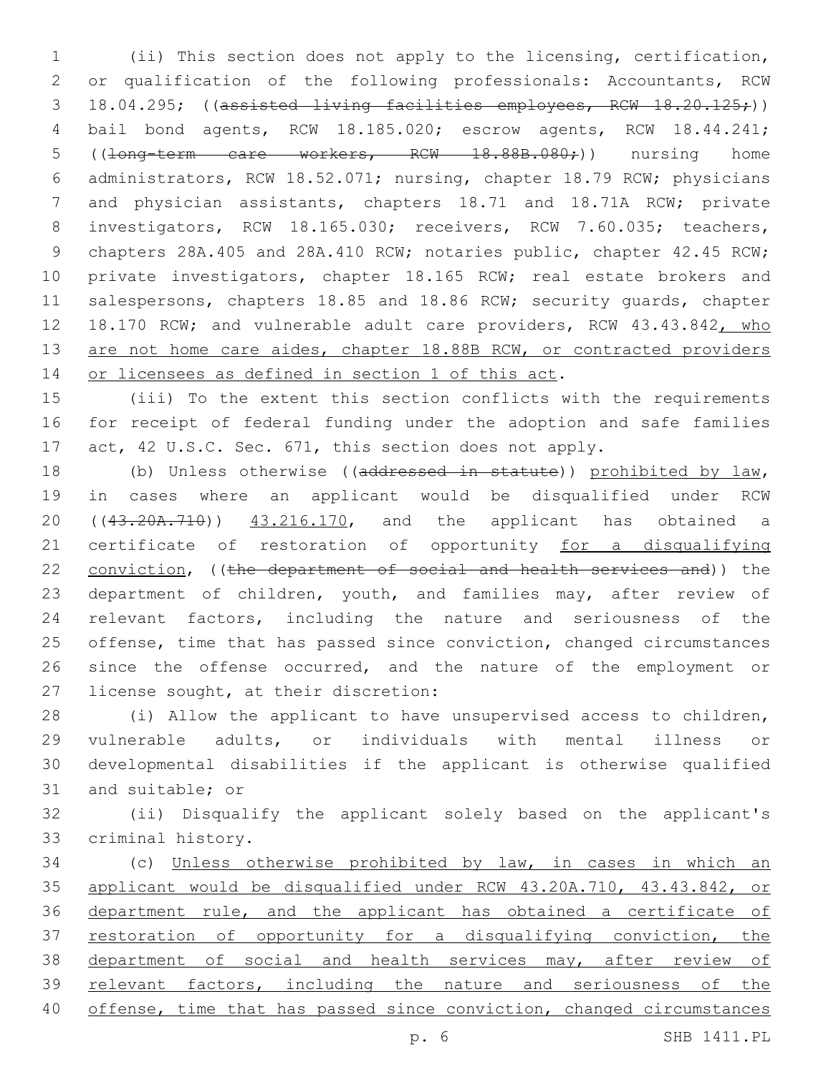1 (ii) This section does not apply to the licensing, certification, 2 or qualification of the following professionals: Accountants, RCW 3 18.04.295; ((assisted living facilities employees, RCW 18.20.125;)) 4 bail bond agents, RCW 18.185.020; escrow agents, RCW 18.44.241; 5 ((<del>long-term care workers, RCW 18.88B.080;</del>)) nursing home 6 administrators, RCW 18.52.071; nursing, chapter 18.79 RCW; physicians 7 and physician assistants, chapters 18.71 and 18.71A RCW; private 8 investigators, RCW 18.165.030; receivers, RCW 7.60.035; teachers, 9 chapters 28A.405 and 28A.410 RCW; notaries public, chapter 42.45 RCW; 10 private investigators, chapter 18.165 RCW; real estate brokers and 11 salespersons, chapters 18.85 and 18.86 RCW; security quards, chapter 12 18.170 RCW; and vulnerable adult care providers, RCW 43.43.842, who 13 are not home care aides, chapter 18.88B RCW, or contracted providers 14 or licensees as defined in section 1 of this act.

15 (iii) To the extent this section conflicts with the requirements 16 for receipt of federal funding under the adoption and safe families 17 act, 42 U.S.C. Sec. 671, this section does not apply.

18 (b) Unless otherwise ((addressed in statute)) prohibited by law, 19 in cases where an applicant would be disqualified under RCW 20 ((43.20A.710)) 43.216.170, and the applicant has obtained a 21 certificate of restoration of opportunity for a disqualifying 22 conviction, ((the department of social and health services and)) the 23 department of children, youth, and families may, after review of 24 relevant factors, including the nature and seriousness of the 25 offense, time that has passed since conviction, changed circumstances 26 since the offense occurred, and the nature of the employment or 27 license sought, at their discretion:

 (i) Allow the applicant to have unsupervised access to children, vulnerable adults, or individuals with mental illness or developmental disabilities if the applicant is otherwise qualified 31 and suitable; or

32 (ii) Disqualify the applicant solely based on the applicant's 33 criminal history.

 (c) Unless otherwise prohibited by law, in cases in which an applicant would be disqualified under RCW 43.20A.710, 43.43.842, or department rule, and the applicant has obtained a certificate of 37 restoration of opportunity for a disqualifying conviction, the 38 department of social and health services may, after review of relevant factors, including the nature and seriousness of the offense, time that has passed since conviction, changed circumstances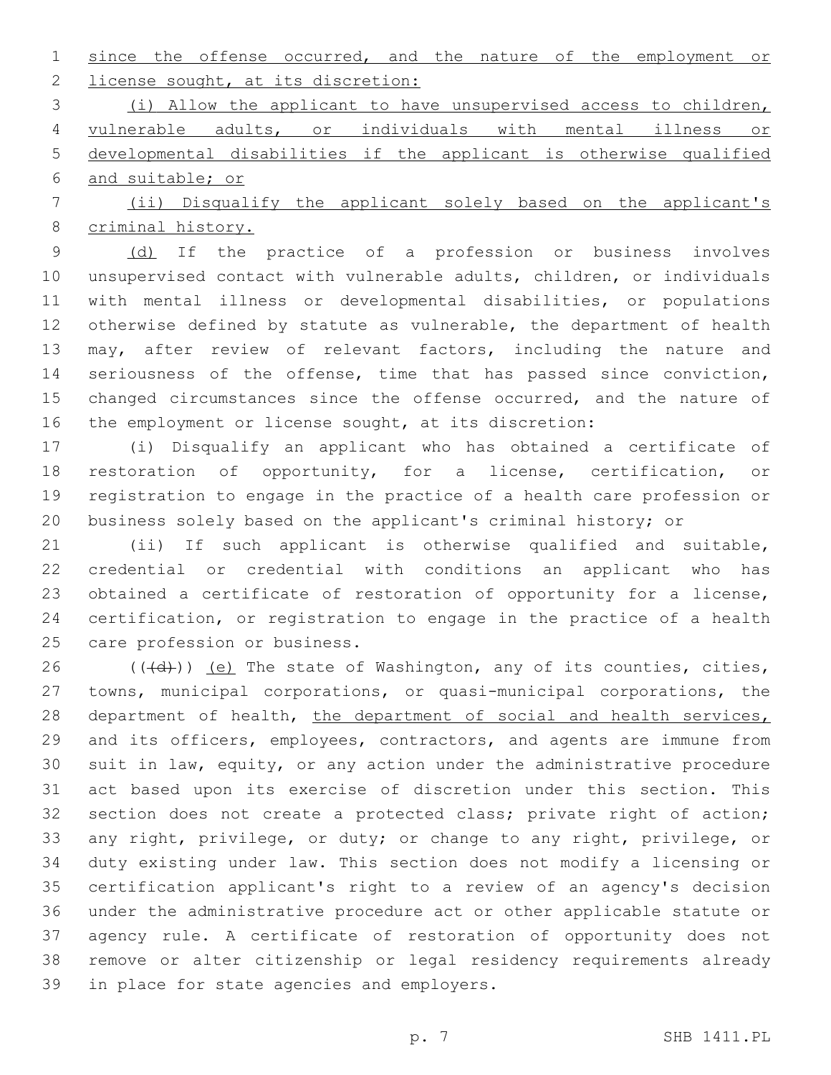since the offense occurred, and the nature of the employment or 2 license sought, at its discretion:

 (i) Allow the applicant to have unsupervised access to children, vulnerable adults, or individuals with mental illness or developmental disabilities if the applicant is otherwise qualified and suitable; or

 (ii) Disqualify the applicant solely based on the applicant's criminal history.

9 (d) If the practice of a profession or business involves unsupervised contact with vulnerable adults, children, or individuals with mental illness or developmental disabilities, or populations otherwise defined by statute as vulnerable, the department of health may, after review of relevant factors, including the nature and seriousness of the offense, time that has passed since conviction, 15 changed circumstances since the offense occurred, and the nature of the employment or license sought, at its discretion:

 (i) Disqualify an applicant who has obtained a certificate of restoration of opportunity, for a license, certification, or registration to engage in the practice of a health care profession or business solely based on the applicant's criminal history; or

 (ii) If such applicant is otherwise qualified and suitable, credential or credential with conditions an applicant who has obtained a certificate of restoration of opportunity for a license, certification, or registration to engage in the practice of a health 25 care profession or business.

 $((\overline{d}))$  (e) The state of Washington, any of its counties, cities, towns, municipal corporations, or quasi-municipal corporations, the 28 department of health, the department of social and health services, and its officers, employees, contractors, and agents are immune from suit in law, equity, or any action under the administrative procedure act based upon its exercise of discretion under this section. This section does not create a protected class; private right of action; any right, privilege, or duty; or change to any right, privilege, or duty existing under law. This section does not modify a licensing or certification applicant's right to a review of an agency's decision under the administrative procedure act or other applicable statute or agency rule. A certificate of restoration of opportunity does not remove or alter citizenship or legal residency requirements already 39 in place for state agencies and employers.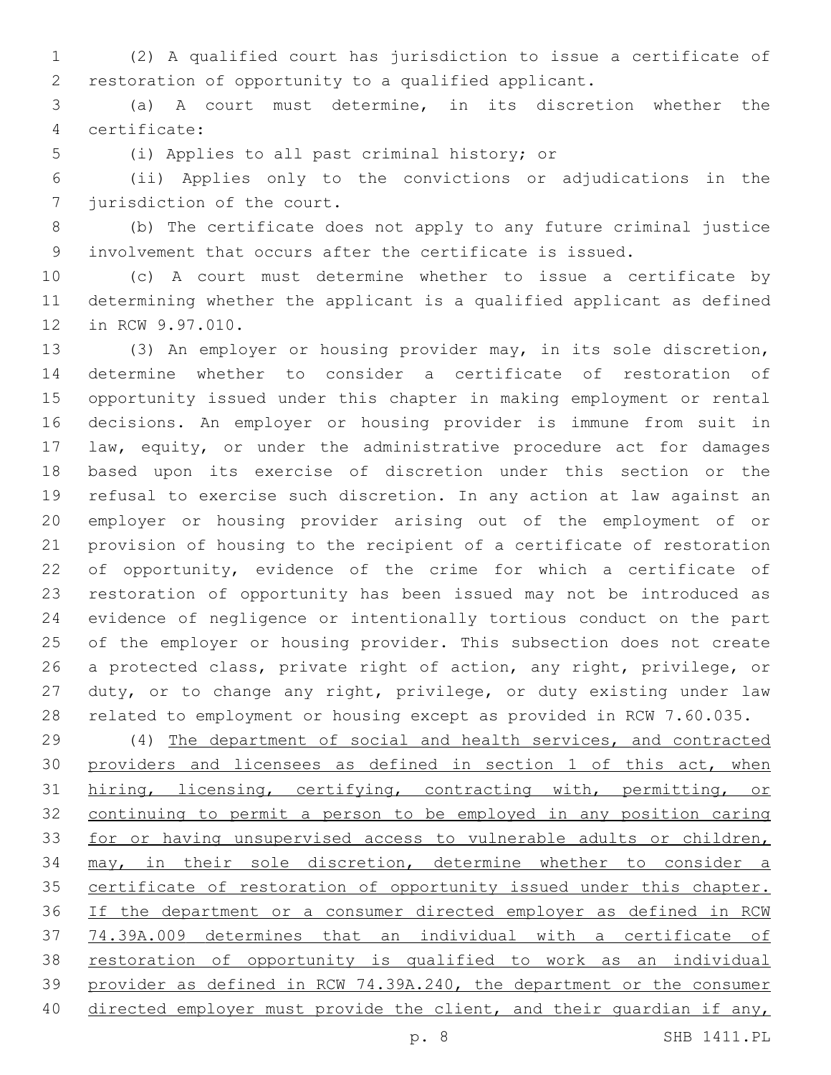(2) A qualified court has jurisdiction to issue a certificate of restoration of opportunity to a qualified applicant.

 (a) A court must determine, in its discretion whether the certificate:4

5 (i) Applies to all past criminal history; or

 (ii) Applies only to the convictions or adjudications in the 7 jurisdiction of the court.

 (b) The certificate does not apply to any future criminal justice involvement that occurs after the certificate is issued.

 (c) A court must determine whether to issue a certificate by determining whether the applicant is a qualified applicant as defined 12 in RCW 9.97.010.

 (3) An employer or housing provider may, in its sole discretion, determine whether to consider a certificate of restoration of opportunity issued under this chapter in making employment or rental decisions. An employer or housing provider is immune from suit in law, equity, or under the administrative procedure act for damages based upon its exercise of discretion under this section or the refusal to exercise such discretion. In any action at law against an employer or housing provider arising out of the employment of or provision of housing to the recipient of a certificate of restoration 22 of opportunity, evidence of the crime for which a certificate of restoration of opportunity has been issued may not be introduced as evidence of negligence or intentionally tortious conduct on the part of the employer or housing provider. This subsection does not create a protected class, private right of action, any right, privilege, or duty, or to change any right, privilege, or duty existing under law related to employment or housing except as provided in RCW 7.60.035.

 (4) The department of social and health services, and contracted 30 providers and licensees as defined in section 1 of this act, when hiring, licensing, certifying, contracting with, permitting, or continuing to permit a person to be employed in any position caring for or having unsupervised access to vulnerable adults or children, may, in their sole discretion, determine whether to consider a 35 certificate of restoration of opportunity issued under this chapter. If the department or a consumer directed employer as defined in RCW 74.39A.009 determines that an individual with a certificate of restoration of opportunity is qualified to work as an individual provider as defined in RCW 74.39A.240, the department or the consumer 40 directed employer must provide the client, and their quardian if any,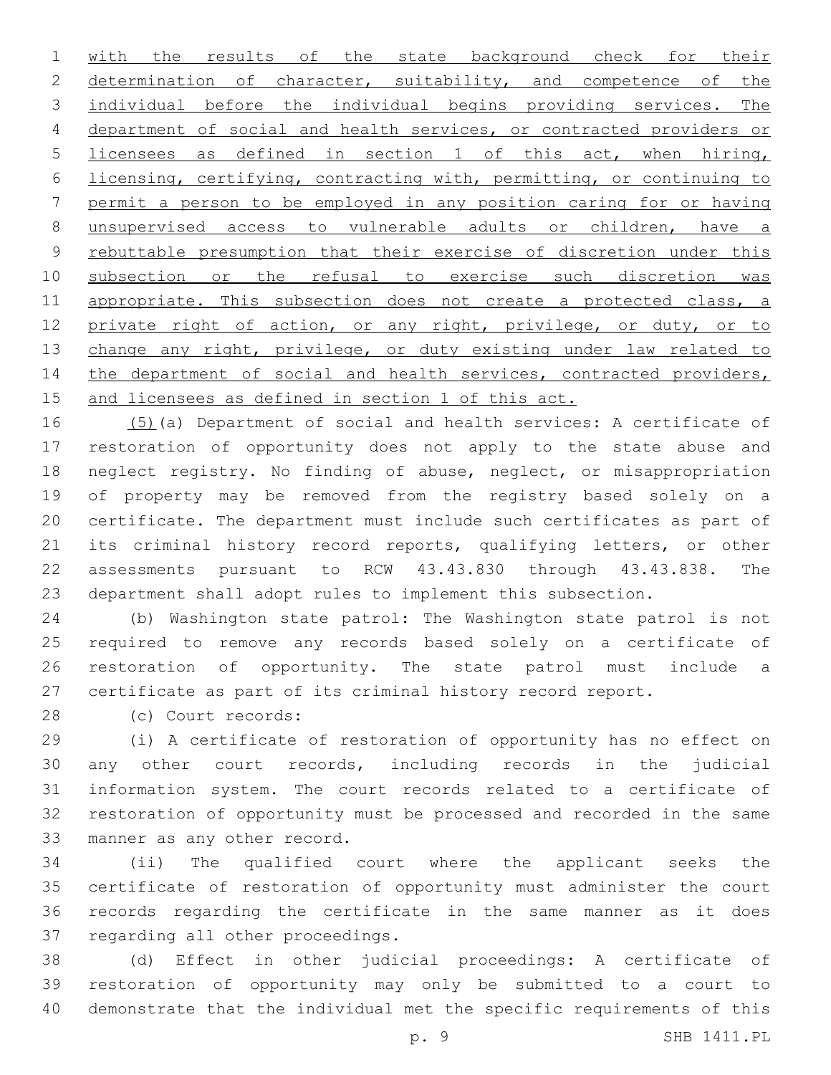with the results of the state background check for their 2 determination of character, suitability, and competence of the individual before the individual begins providing services. The department of social and health services, or contracted providers or licensees as defined in section 1 of this act, when hiring, licensing, certifying, contracting with, permitting, or continuing to permit a person to be employed in any position caring for or having unsupervised access to vulnerable adults or children, have a rebuttable presumption that their exercise of discretion under this subsection or the refusal to exercise such discretion was 11 appropriate. This subsection does not create a protected class, a 12 private right of action, or any right, privilege, or duty, or to 13 change any right, privilege, or duty existing under law related to 14 the department of social and health services, contracted providers, and licensees as defined in section 1 of this act.

 (5)(a) Department of social and health services: A certificate of restoration of opportunity does not apply to the state abuse and neglect registry. No finding of abuse, neglect, or misappropriation of property may be removed from the registry based solely on a certificate. The department must include such certificates as part of its criminal history record reports, qualifying letters, or other assessments pursuant to RCW 43.43.830 through 43.43.838. The department shall adopt rules to implement this subsection.

 (b) Washington state patrol: The Washington state patrol is not required to remove any records based solely on a certificate of restoration of opportunity. The state patrol must include a certificate as part of its criminal history record report.

(c) Court records:28

 (i) A certificate of restoration of opportunity has no effect on any other court records, including records in the judicial information system. The court records related to a certificate of restoration of opportunity must be processed and recorded in the same 33 manner as any other record.

 (ii) The qualified court where the applicant seeks the certificate of restoration of opportunity must administer the court records regarding the certificate in the same manner as it does 37 regarding all other proceedings.

 (d) Effect in other judicial proceedings: A certificate of restoration of opportunity may only be submitted to a court to demonstrate that the individual met the specific requirements of this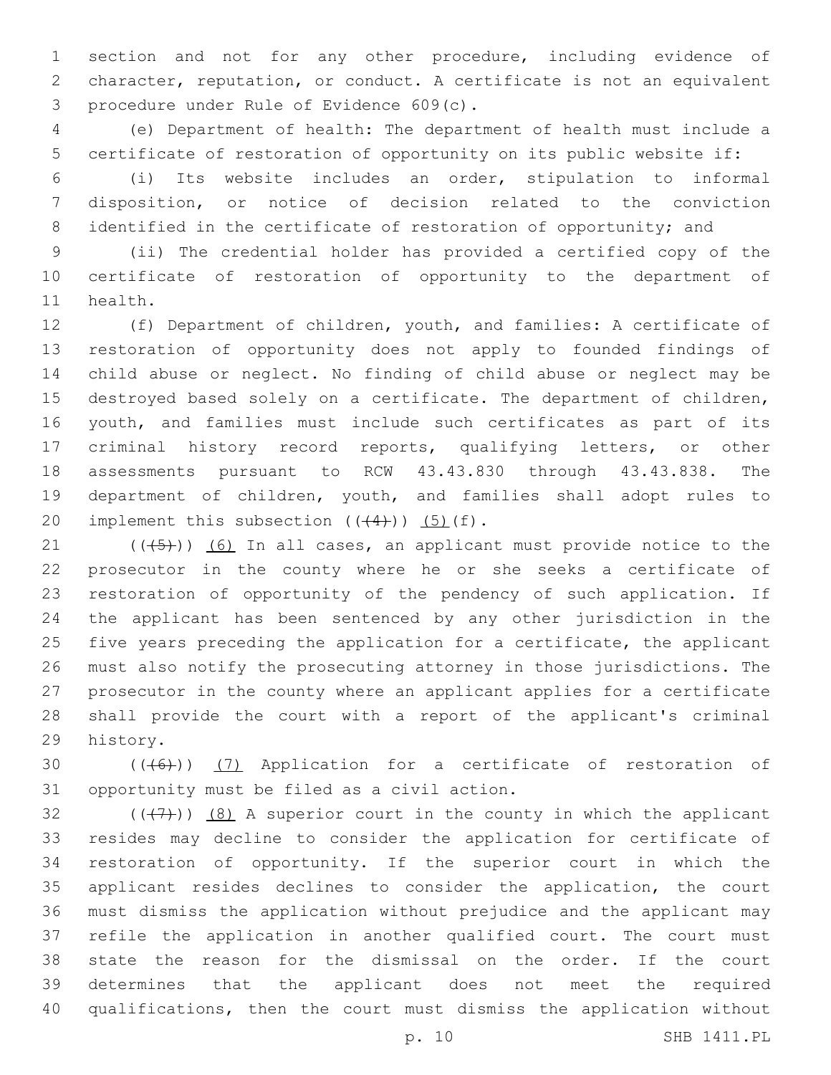section and not for any other procedure, including evidence of character, reputation, or conduct. A certificate is not an equivalent procedure under Rule of Evidence 609(c).3

 (e) Department of health: The department of health must include a certificate of restoration of opportunity on its public website if:

 (i) Its website includes an order, stipulation to informal disposition, or notice of decision related to the conviction 8 identified in the certificate of restoration of opportunity; and

 (ii) The credential holder has provided a certified copy of the certificate of restoration of opportunity to the department of 11 health.

 (f) Department of children, youth, and families: A certificate of restoration of opportunity does not apply to founded findings of child abuse or neglect. No finding of child abuse or neglect may be destroyed based solely on a certificate. The department of children, youth, and families must include such certificates as part of its criminal history record reports, qualifying letters, or other assessments pursuant to RCW 43.43.830 through 43.43.838. The department of children, youth, and families shall adopt rules to 20 implement this subsection  $((44))$   $(5)$   $(f)$ .

 $(1)$  (( $(45)$ )) (6) In all cases, an applicant must provide notice to the prosecutor in the county where he or she seeks a certificate of restoration of opportunity of the pendency of such application. If the applicant has been sentenced by any other jurisdiction in the five years preceding the application for a certificate, the applicant must also notify the prosecuting attorney in those jurisdictions. The prosecutor in the county where an applicant applies for a certificate shall provide the court with a report of the applicant's criminal 29 history.

30  $((+6+))$   $(7)$  Application for a certificate of restoration of 31 opportunity must be filed as a civil action.

 $((+7+))$   $(8)$  A superior court in the county in which the applicant resides may decline to consider the application for certificate of restoration of opportunity. If the superior court in which the applicant resides declines to consider the application, the court must dismiss the application without prejudice and the applicant may refile the application in another qualified court. The court must state the reason for the dismissal on the order. If the court determines that the applicant does not meet the required qualifications, then the court must dismiss the application without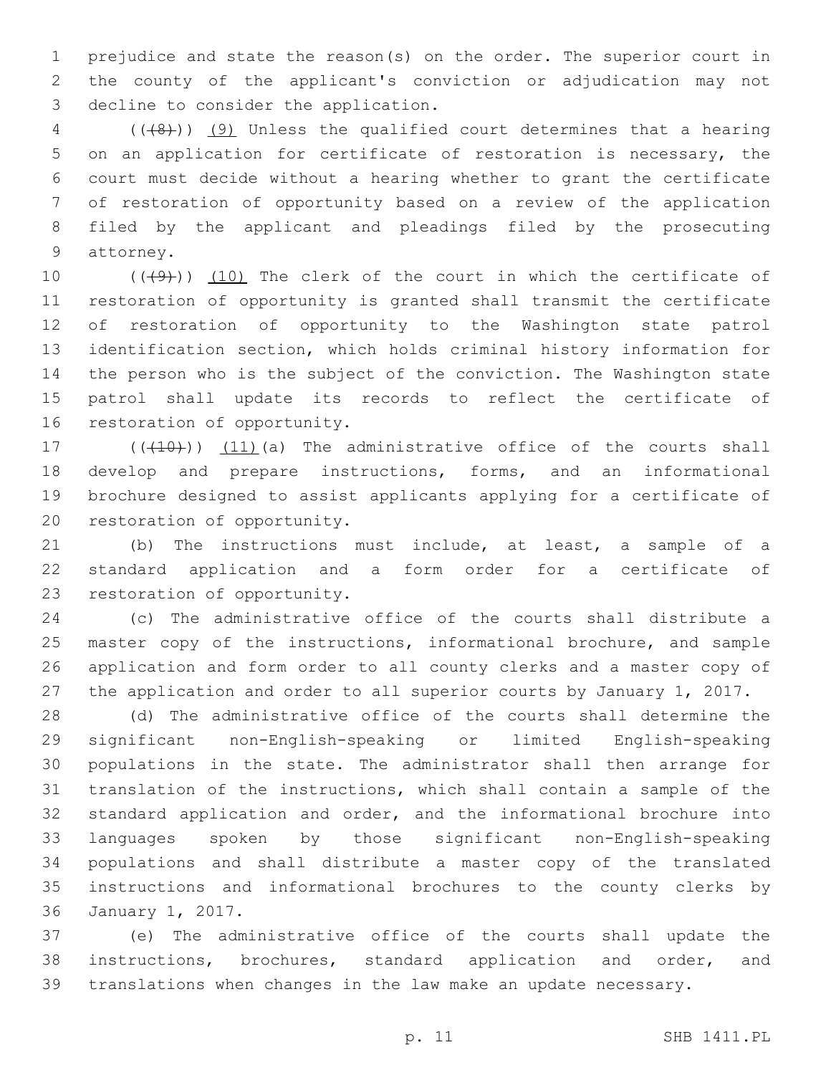prejudice and state the reason(s) on the order. The superior court in the county of the applicant's conviction or adjudication may not 3 decline to consider the application.

 (( $\left(\frac{48}{1}\right)$ ) (9) Unless the qualified court determines that a hearing on an application for certificate of restoration is necessary, the court must decide without a hearing whether to grant the certificate of restoration of opportunity based on a review of the application filed by the applicant and pleadings filed by the prosecuting 9 attorney.

 $((+9+))$   $(10)$  The clerk of the court in which the certificate of restoration of opportunity is granted shall transmit the certificate of restoration of opportunity to the Washington state patrol identification section, which holds criminal history information for the person who is the subject of the conviction. The Washington state patrol shall update its records to reflect the certificate of 16 restoration of opportunity.

 $((+10))$   $(11)$  (a) The administrative office of the courts shall develop and prepare instructions, forms, and an informational brochure designed to assist applicants applying for a certificate of 20 restoration of opportunity.

 (b) The instructions must include, at least, a sample of a standard application and a form order for a certificate of 23 restoration of opportunity.

 (c) The administrative office of the courts shall distribute a master copy of the instructions, informational brochure, and sample application and form order to all county clerks and a master copy of the application and order to all superior courts by January 1, 2017.

 (d) The administrative office of the courts shall determine the significant non-English-speaking or limited English-speaking populations in the state. The administrator shall then arrange for translation of the instructions, which shall contain a sample of the standard application and order, and the informational brochure into languages spoken by those significant non-English-speaking populations and shall distribute a master copy of the translated instructions and informational brochures to the county clerks by 36 January 1, 2017.

 (e) The administrative office of the courts shall update the instructions, brochures, standard application and order, and translations when changes in the law make an update necessary.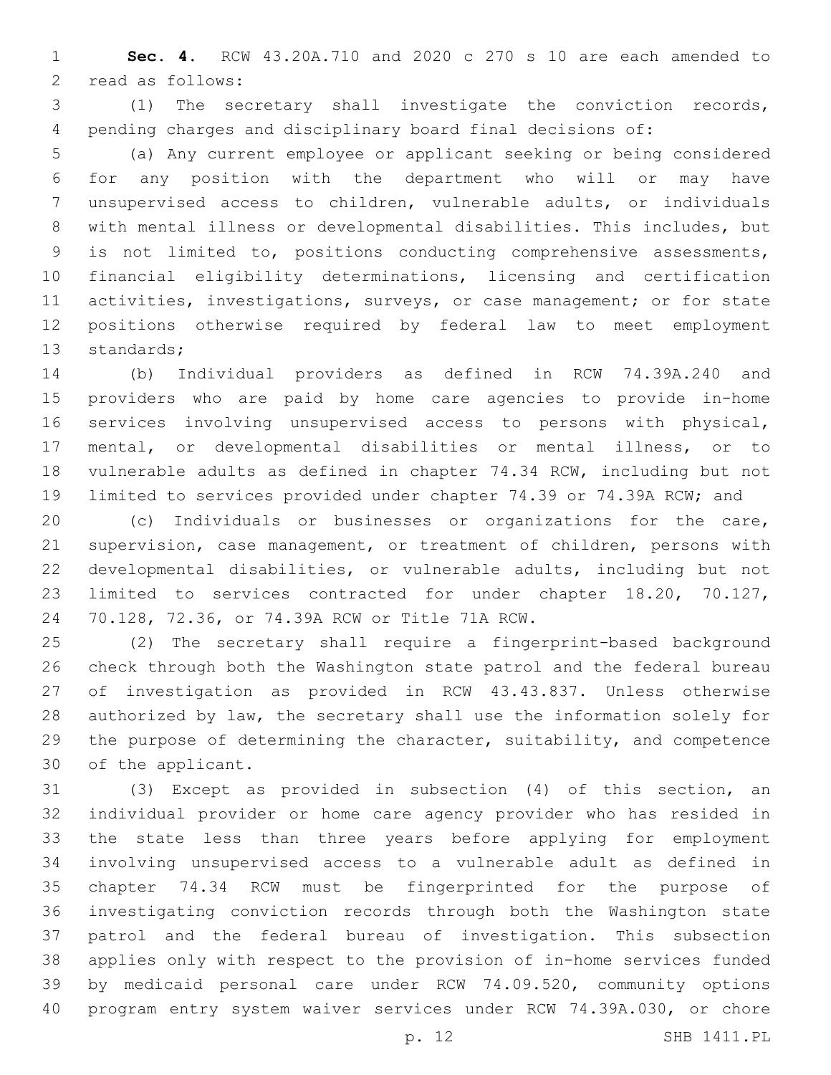**Sec. 4.** RCW 43.20A.710 and 2020 c 270 s 10 are each amended to 2 read as follows:

 (1) The secretary shall investigate the conviction records, pending charges and disciplinary board final decisions of:

 (a) Any current employee or applicant seeking or being considered for any position with the department who will or may have unsupervised access to children, vulnerable adults, or individuals with mental illness or developmental disabilities. This includes, but is not limited to, positions conducting comprehensive assessments, financial eligibility determinations, licensing and certification activities, investigations, surveys, or case management; or for state positions otherwise required by federal law to meet employment 13 standards;

 (b) Individual providers as defined in RCW 74.39A.240 and providers who are paid by home care agencies to provide in-home services involving unsupervised access to persons with physical, mental, or developmental disabilities or mental illness, or to vulnerable adults as defined in chapter 74.34 RCW, including but not limited to services provided under chapter 74.39 or 74.39A RCW; and

 (c) Individuals or businesses or organizations for the care, supervision, case management, or treatment of children, persons with developmental disabilities, or vulnerable adults, including but not limited to services contracted for under chapter 18.20, 70.127, 70.128, 72.36, or 74.39A RCW or Title 71A RCW.24

 (2) The secretary shall require a fingerprint-based background check through both the Washington state patrol and the federal bureau of investigation as provided in RCW 43.43.837. Unless otherwise authorized by law, the secretary shall use the information solely for the purpose of determining the character, suitability, and competence 30 of the applicant.

 (3) Except as provided in subsection (4) of this section, an individual provider or home care agency provider who has resided in the state less than three years before applying for employment involving unsupervised access to a vulnerable adult as defined in chapter 74.34 RCW must be fingerprinted for the purpose of investigating conviction records through both the Washington state patrol and the federal bureau of investigation. This subsection applies only with respect to the provision of in-home services funded by medicaid personal care under RCW 74.09.520, community options program entry system waiver services under RCW 74.39A.030, or chore

p. 12 SHB 1411.PL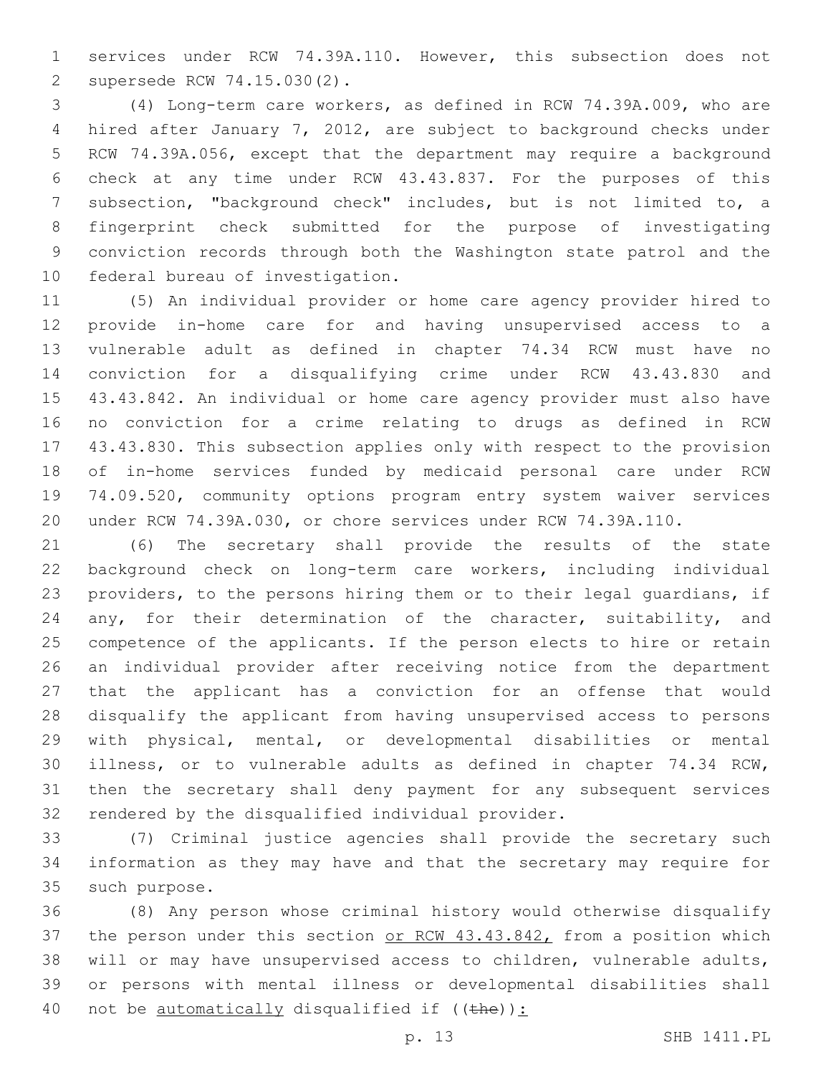services under RCW 74.39A.110. However, this subsection does not supersede RCW 74.15.030(2).2

 (4) Long-term care workers, as defined in RCW 74.39A.009, who are hired after January 7, 2012, are subject to background checks under RCW 74.39A.056, except that the department may require a background check at any time under RCW 43.43.837. For the purposes of this subsection, "background check" includes, but is not limited to, a fingerprint check submitted for the purpose of investigating conviction records through both the Washington state patrol and the 10 federal bureau of investigation.

 (5) An individual provider or home care agency provider hired to provide in-home care for and having unsupervised access to a vulnerable adult as defined in chapter 74.34 RCW must have no conviction for a disqualifying crime under RCW 43.43.830 and 43.43.842. An individual or home care agency provider must also have no conviction for a crime relating to drugs as defined in RCW 43.43.830. This subsection applies only with respect to the provision of in-home services funded by medicaid personal care under RCW 74.09.520, community options program entry system waiver services under RCW 74.39A.030, or chore services under RCW 74.39A.110.

 (6) The secretary shall provide the results of the state background check on long-term care workers, including individual providers, to the persons hiring them or to their legal guardians, if 24 any, for their determination of the character, suitability, and competence of the applicants. If the person elects to hire or retain an individual provider after receiving notice from the department that the applicant has a conviction for an offense that would disqualify the applicant from having unsupervised access to persons with physical, mental, or developmental disabilities or mental illness, or to vulnerable adults as defined in chapter 74.34 RCW, then the secretary shall deny payment for any subsequent services 32 rendered by the disqualified individual provider.

 (7) Criminal justice agencies shall provide the secretary such information as they may have and that the secretary may require for 35 such purpose.

 (8) Any person whose criminal history would otherwise disqualify 37 the person under this section or RCW 43.43.842, from a position which will or may have unsupervised access to children, vulnerable adults, or persons with mental illness or developmental disabilities shall 40 not be automatically disqualified if  $((the)$ ):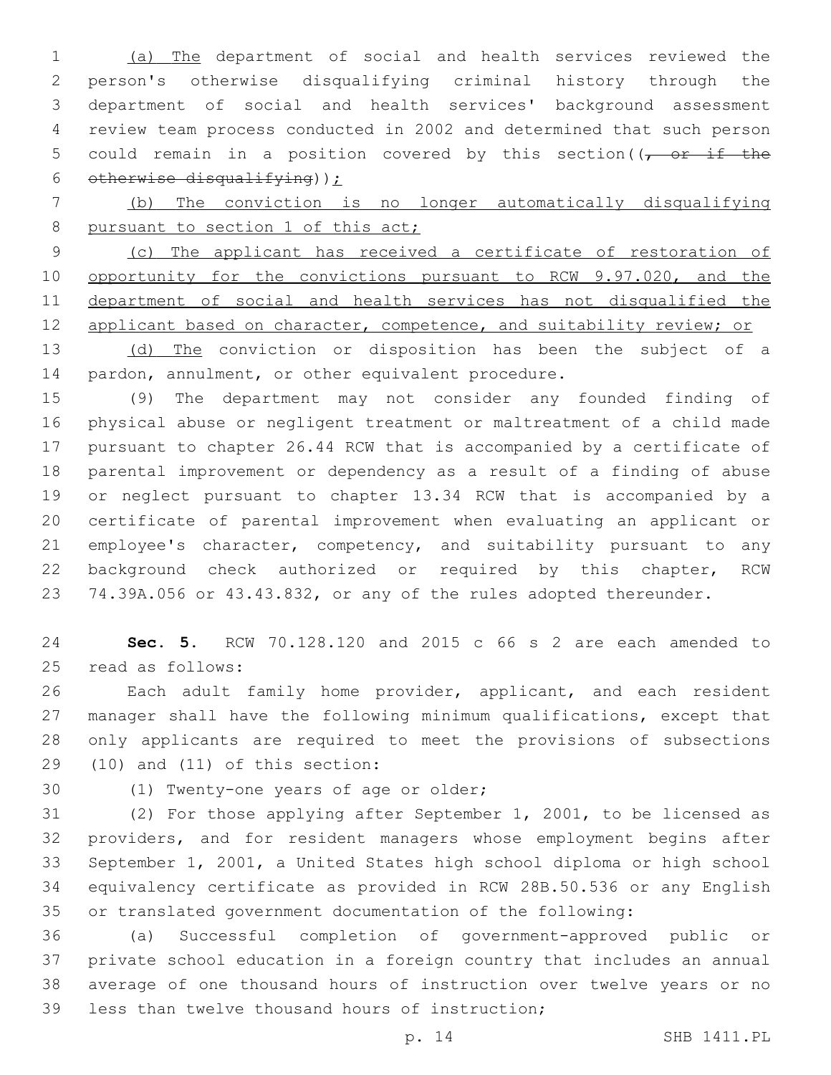(a) The department of social and health services reviewed the person's otherwise disqualifying criminal history through the department of social and health services' background assessment review team process conducted in 2002 and determined that such person 5 could remain in a position covered by this section( $\sqrt{2}$  or if the 6 otherwise disqualifying)  $\sum$ 

 (b) The conviction is no longer automatically disqualifying 8 pursuant to section 1 of this act;

 (c) The applicant has received a certificate of restoration of 10 opportunity for the convictions pursuant to RCW 9.97.020, and the department of social and health services has not disqualified the 12 applicant based on character, competence, and suitability review; or

13 (d) The conviction or disposition has been the subject of a 14 pardon, annulment, or other equivalent procedure.

 (9) The department may not consider any founded finding of physical abuse or negligent treatment or maltreatment of a child made pursuant to chapter 26.44 RCW that is accompanied by a certificate of parental improvement or dependency as a result of a finding of abuse or neglect pursuant to chapter 13.34 RCW that is accompanied by a certificate of parental improvement when evaluating an applicant or 21 employee's character, competency, and suitability pursuant to any background check authorized or required by this chapter, RCW 74.39A.056 or 43.43.832, or any of the rules adopted thereunder.

 **Sec. 5.** RCW 70.128.120 and 2015 c 66 s 2 are each amended to 25 read as follows:

 Each adult family home provider, applicant, and each resident manager shall have the following minimum qualifications, except that only applicants are required to meet the provisions of subsections  $(10)$  and  $(11)$  of this section:

30 (1) Twenty-one years of age or older;

 (2) For those applying after September 1, 2001, to be licensed as providers, and for resident managers whose employment begins after September 1, 2001, a United States high school diploma or high school equivalency certificate as provided in RCW 28B.50.536 or any English or translated government documentation of the following:

 (a) Successful completion of government-approved public or private school education in a foreign country that includes an annual average of one thousand hours of instruction over twelve years or no 39 less than twelve thousand hours of instruction;

p. 14 SHB 1411.PL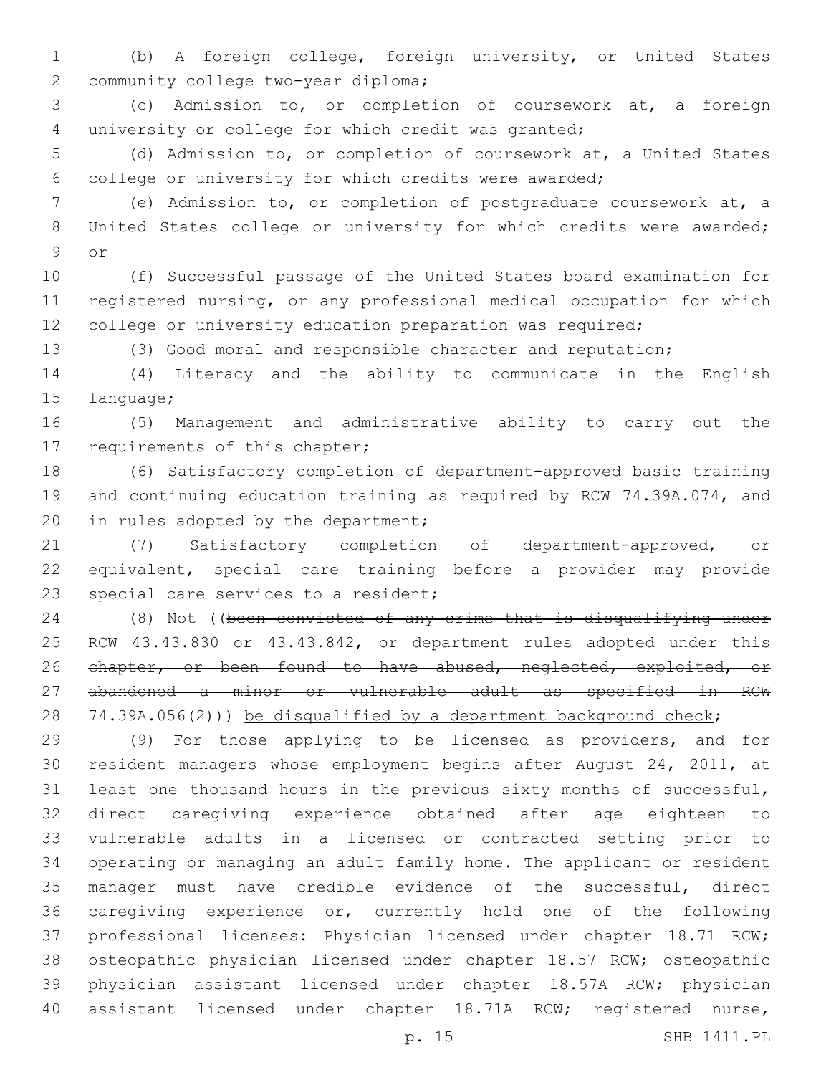(b) A foreign college, foreign university, or United States 2 community college two-year diploma;

 (c) Admission to, or completion of coursework at, a foreign university or college for which credit was granted;

 (d) Admission to, or completion of coursework at, a United States college or university for which credits were awarded;

 (e) Admission to, or completion of postgraduate coursework at, a 8 United States college or university for which credits were awarded; 9 or

 (f) Successful passage of the United States board examination for registered nursing, or any professional medical occupation for which 12 college or university education preparation was required;

(3) Good moral and responsible character and reputation;

 (4) Literacy and the ability to communicate in the English 15 language;

 (5) Management and administrative ability to carry out the 17 requirements of this chapter;

 (6) Satisfactory completion of department-approved basic training and continuing education training as required by RCW 74.39A.074, and 20 in rules adopted by the department;

 (7) Satisfactory completion of department-approved, or equivalent, special care training before a provider may provide 23 special care services to a resident;

 (8) Not ((been convicted of any crime that is disqualifying under 25 RCW 43.43.830 or 43.43.842, or department rules adopted under this 26 chapter, or been found to have abused, neglected, exploited, or abandoned a minor or vulnerable adult as specified in RCW 28  $74.39A.056(2)$ )) be disqualified by a department background check;

 (9) For those applying to be licensed as providers, and for resident managers whose employment begins after August 24, 2011, at least one thousand hours in the previous sixty months of successful, direct caregiving experience obtained after age eighteen to vulnerable adults in a licensed or contracted setting prior to operating or managing an adult family home. The applicant or resident manager must have credible evidence of the successful, direct caregiving experience or, currently hold one of the following professional licenses: Physician licensed under chapter 18.71 RCW; osteopathic physician licensed under chapter 18.57 RCW; osteopathic physician assistant licensed under chapter 18.57A RCW; physician assistant licensed under chapter 18.71A RCW; registered nurse,

p. 15 SHB 1411.PL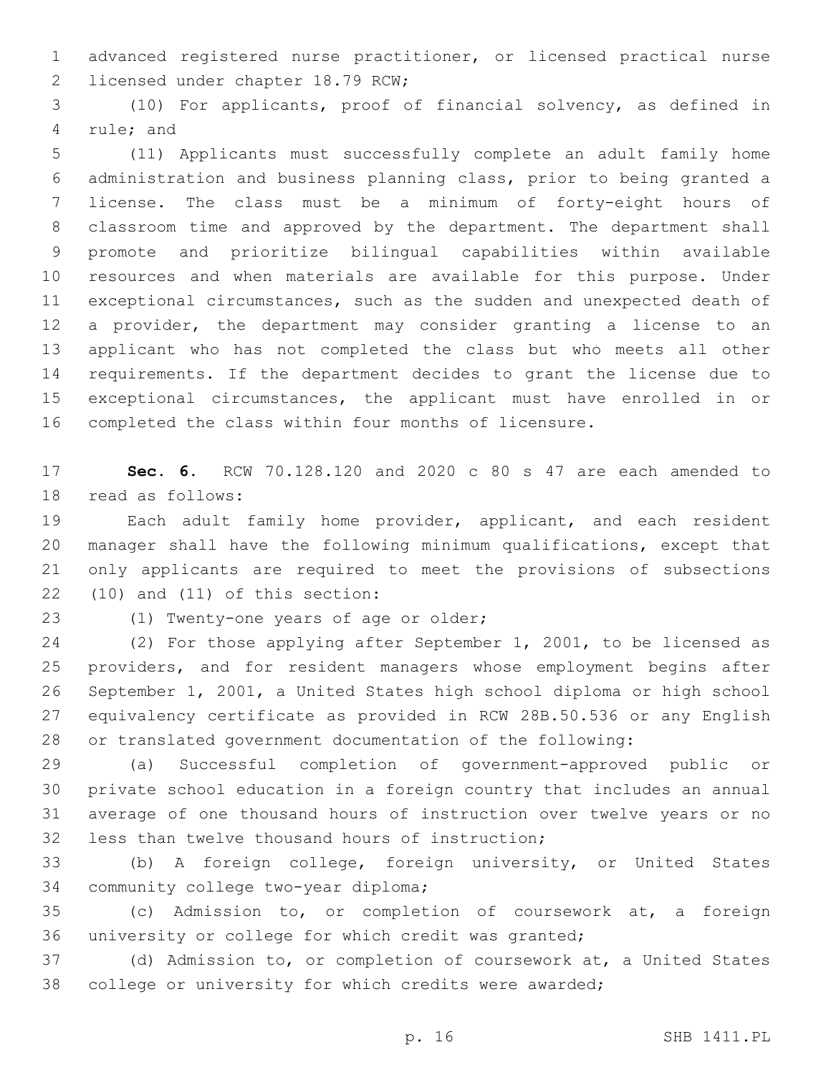advanced registered nurse practitioner, or licensed practical nurse 2 licensed under chapter 18.79 RCW;

 (10) For applicants, proof of financial solvency, as defined in 4 rule; and

 (11) Applicants must successfully complete an adult family home administration and business planning class, prior to being granted a license. The class must be a minimum of forty-eight hours of classroom time and approved by the department. The department shall promote and prioritize bilingual capabilities within available resources and when materials are available for this purpose. Under exceptional circumstances, such as the sudden and unexpected death of a provider, the department may consider granting a license to an applicant who has not completed the class but who meets all other requirements. If the department decides to grant the license due to exceptional circumstances, the applicant must have enrolled in or completed the class within four months of licensure.

 **Sec. 6.** RCW 70.128.120 and 2020 c 80 s 47 are each amended to 18 read as follows:

 Each adult family home provider, applicant, and each resident manager shall have the following minimum qualifications, except that only applicants are required to meet the provisions of subsections  $(10)$  and  $(11)$  of this section:

23 (1) Twenty-one years of age or older;

 (2) For those applying after September 1, 2001, to be licensed as providers, and for resident managers whose employment begins after September 1, 2001, a United States high school diploma or high school equivalency certificate as provided in RCW 28B.50.536 or any English or translated government documentation of the following:

 (a) Successful completion of government-approved public or private school education in a foreign country that includes an annual average of one thousand hours of instruction over twelve years or no 32 less than twelve thousand hours of instruction;

 (b) A foreign college, foreign university, or United States 34 community college two-year diploma;

 (c) Admission to, or completion of coursework at, a foreign university or college for which credit was granted;

 (d) Admission to, or completion of coursework at, a United States college or university for which credits were awarded;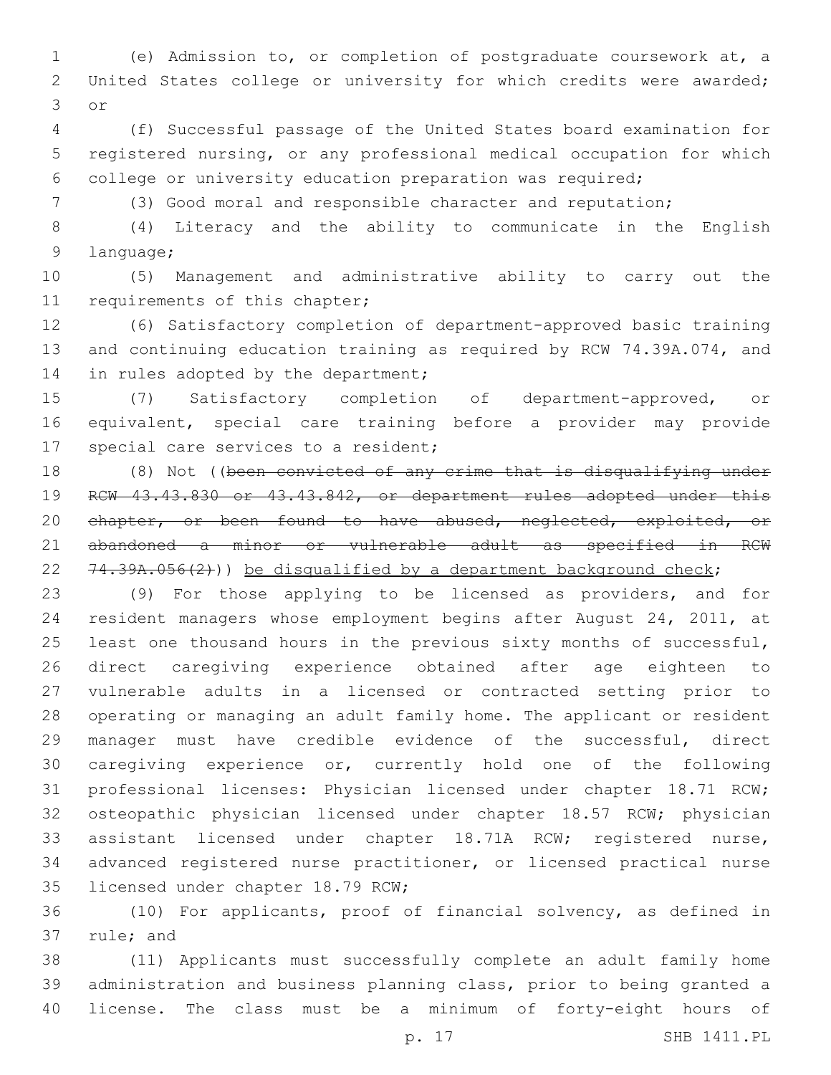(e) Admission to, or completion of postgraduate coursework at, a United States college or university for which credits were awarded; 3 or

 (f) Successful passage of the United States board examination for registered nursing, or any professional medical occupation for which college or university education preparation was required;

(3) Good moral and responsible character and reputation;

 (4) Literacy and the ability to communicate in the English 9 language;

 (5) Management and administrative ability to carry out the 11 requirements of this chapter;

 (6) Satisfactory completion of department-approved basic training and continuing education training as required by RCW 74.39A.074, and 14 in rules adopted by the department;

 (7) Satisfactory completion of department-approved, or equivalent, special care training before a provider may provide 17 special care services to a resident;

18 (8) Not ((been convicted of any crime that is disqualifying under RCW 43.43.830 or 43.43.842, or department rules adopted under this 20 chapter, or been found to have abused, neglected, exploited, or abandoned a minor or vulnerable adult as specified in RCW 22  $74.39A.056(2)$ )) be disqualified by a department background check;

 (9) For those applying to be licensed as providers, and for resident managers whose employment begins after August 24, 2011, at 25 least one thousand hours in the previous sixty months of successful, direct caregiving experience obtained after age eighteen to vulnerable adults in a licensed or contracted setting prior to operating or managing an adult family home. The applicant or resident manager must have credible evidence of the successful, direct caregiving experience or, currently hold one of the following professional licenses: Physician licensed under chapter 18.71 RCW; osteopathic physician licensed under chapter 18.57 RCW; physician assistant licensed under chapter 18.71A RCW; registered nurse, advanced registered nurse practitioner, or licensed practical nurse 35 licensed under chapter 18.79 RCW;

 (10) For applicants, proof of financial solvency, as defined in 37 rule; and

 (11) Applicants must successfully complete an adult family home administration and business planning class, prior to being granted a license. The class must be a minimum of forty-eight hours of

p. 17 SHB 1411.PL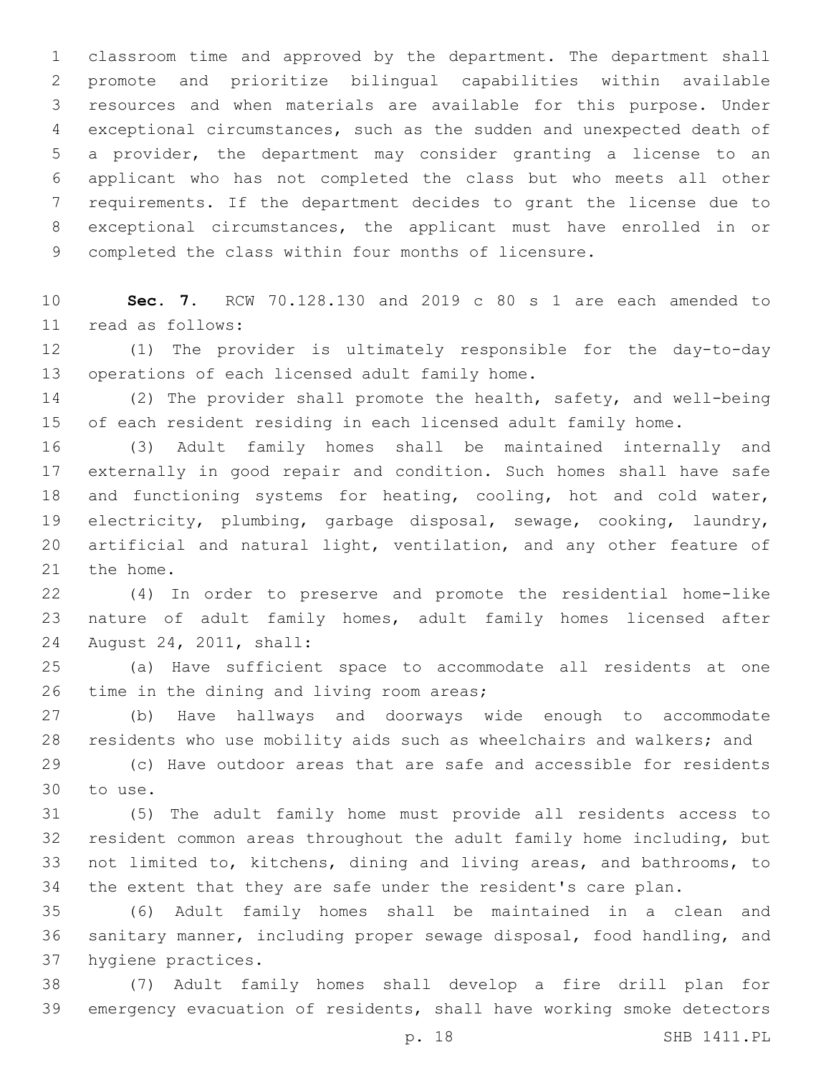classroom time and approved by the department. The department shall promote and prioritize bilingual capabilities within available resources and when materials are available for this purpose. Under exceptional circumstances, such as the sudden and unexpected death of a provider, the department may consider granting a license to an applicant who has not completed the class but who meets all other requirements. If the department decides to grant the license due to exceptional circumstances, the applicant must have enrolled in or completed the class within four months of licensure.

 **Sec. 7.** RCW 70.128.130 and 2019 c 80 s 1 are each amended to read as follows:11

 (1) The provider is ultimately responsible for the day-to-day 13 operations of each licensed adult family home.

 (2) The provider shall promote the health, safety, and well-being of each resident residing in each licensed adult family home.

 (3) Adult family homes shall be maintained internally and externally in good repair and condition. Such homes shall have safe and functioning systems for heating, cooling, hot and cold water, electricity, plumbing, garbage disposal, sewage, cooking, laundry, artificial and natural light, ventilation, and any other feature of 21 the home.

 (4) In order to preserve and promote the residential home-like nature of adult family homes, adult family homes licensed after 24 August 24, 2011, shall:

 (a) Have sufficient space to accommodate all residents at one 26 time in the dining and living room areas;

 (b) Have hallways and doorways wide enough to accommodate residents who use mobility aids such as wheelchairs and walkers; and

 (c) Have outdoor areas that are safe and accessible for residents 30 to use.

 (5) The adult family home must provide all residents access to resident common areas throughout the adult family home including, but not limited to, kitchens, dining and living areas, and bathrooms, to the extent that they are safe under the resident's care plan.

 (6) Adult family homes shall be maintained in a clean and sanitary manner, including proper sewage disposal, food handling, and 37 hygiene practices.

 (7) Adult family homes shall develop a fire drill plan for emergency evacuation of residents, shall have working smoke detectors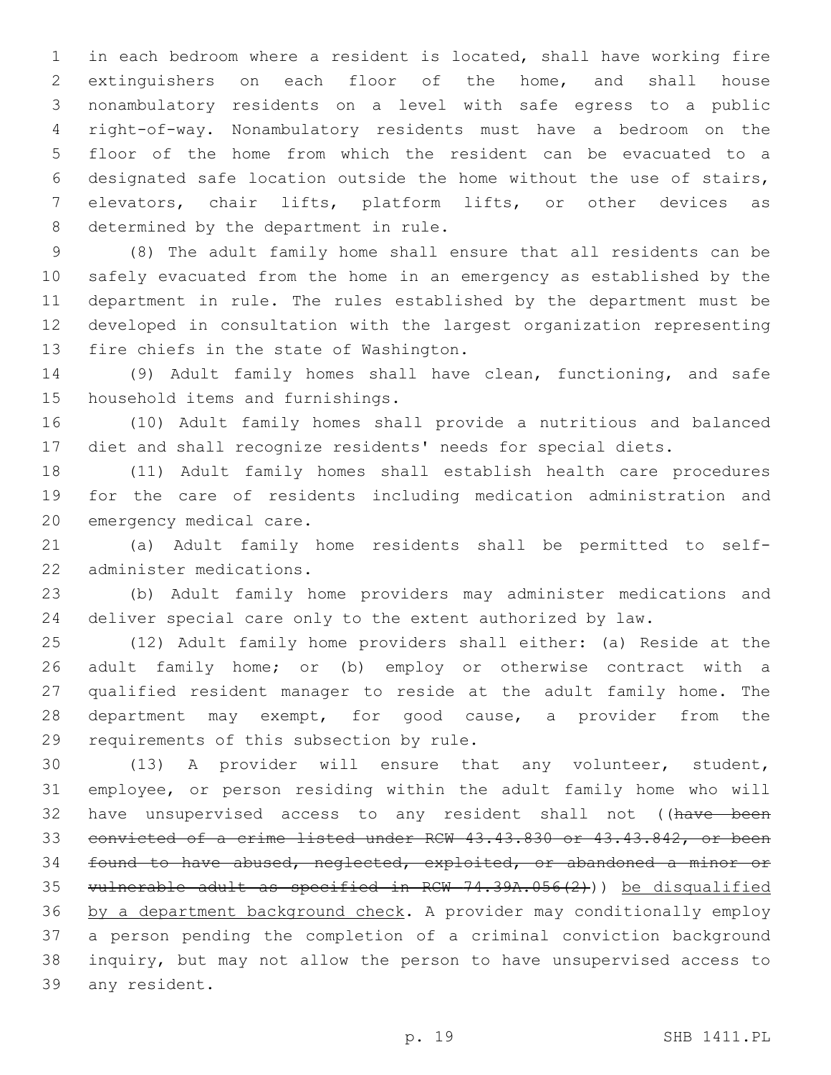in each bedroom where a resident is located, shall have working fire extinguishers on each floor of the home, and shall house nonambulatory residents on a level with safe egress to a public right-of-way. Nonambulatory residents must have a bedroom on the floor of the home from which the resident can be evacuated to a designated safe location outside the home without the use of stairs, elevators, chair lifts, platform lifts, or other devices as 8 determined by the department in rule.

 (8) The adult family home shall ensure that all residents can be safely evacuated from the home in an emergency as established by the department in rule. The rules established by the department must be developed in consultation with the largest organization representing 13 fire chiefs in the state of Washington.

 (9) Adult family homes shall have clean, functioning, and safe 15 household items and furnishings.

 (10) Adult family homes shall provide a nutritious and balanced diet and shall recognize residents' needs for special diets.

 (11) Adult family homes shall establish health care procedures for the care of residents including medication administration and 20 emergency medical care.

 (a) Adult family home residents shall be permitted to self-22 administer medications.

 (b) Adult family home providers may administer medications and deliver special care only to the extent authorized by law.

 (12) Adult family home providers shall either: (a) Reside at the adult family home; or (b) employ or otherwise contract with a qualified resident manager to reside at the adult family home. The 28 department may exempt, for good cause, a provider from the 29 requirements of this subsection by rule.

 (13) A provider will ensure that any volunteer, student, employee, or person residing within the adult family home who will 32 have unsupervised access to any resident shall not ((have been convicted of a crime listed under RCW 43.43.830 or 43.43.842, or been found to have abused, neglected, exploited, or abandoned a minor or vulnerable adult as specified in RCW 74.39A.056(2))) be disqualified by a department background check. A provider may conditionally employ a person pending the completion of a criminal conviction background inquiry, but may not allow the person to have unsupervised access to 39 any resident.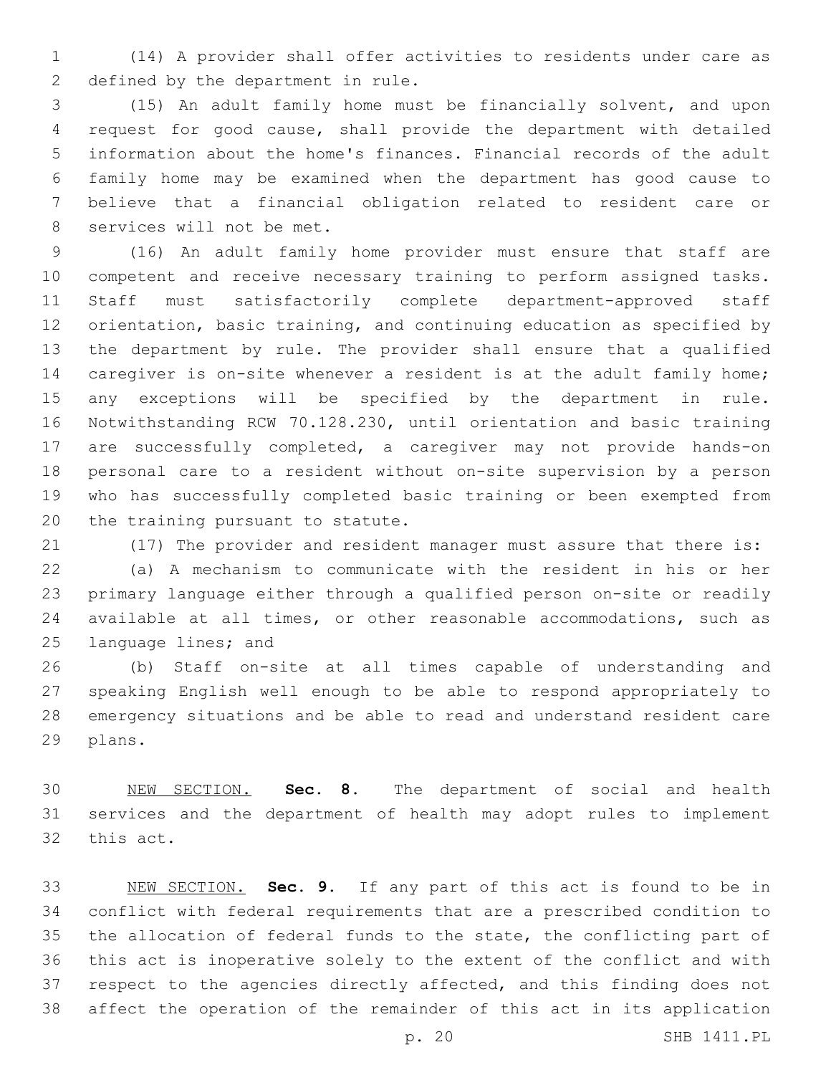(14) A provider shall offer activities to residents under care as 2 defined by the department in rule.

 (15) An adult family home must be financially solvent, and upon request for good cause, shall provide the department with detailed information about the home's finances. Financial records of the adult family home may be examined when the department has good cause to believe that a financial obligation related to resident care or 8 services will not be met.

 (16) An adult family home provider must ensure that staff are competent and receive necessary training to perform assigned tasks. Staff must satisfactorily complete department-approved staff orientation, basic training, and continuing education as specified by the department by rule. The provider shall ensure that a qualified 14 caregiver is on-site whenever a resident is at the adult family home; any exceptions will be specified by the department in rule. Notwithstanding RCW 70.128.230, until orientation and basic training are successfully completed, a caregiver may not provide hands-on personal care to a resident without on-site supervision by a person who has successfully completed basic training or been exempted from 20 the training pursuant to statute.

(17) The provider and resident manager must assure that there is:

 (a) A mechanism to communicate with the resident in his or her primary language either through a qualified person on-site or readily available at all times, or other reasonable accommodations, such as 25 language lines; and

 (b) Staff on-site at all times capable of understanding and speaking English well enough to be able to respond appropriately to emergency situations and be able to read and understand resident care 29 plans.

 NEW SECTION. **Sec. 8.** The department of social and health services and the department of health may adopt rules to implement this act.

 NEW SECTION. **Sec. 9.** If any part of this act is found to be in conflict with federal requirements that are a prescribed condition to the allocation of federal funds to the state, the conflicting part of this act is inoperative solely to the extent of the conflict and with respect to the agencies directly affected, and this finding does not affect the operation of the remainder of this act in its application

p. 20 SHB 1411.PL